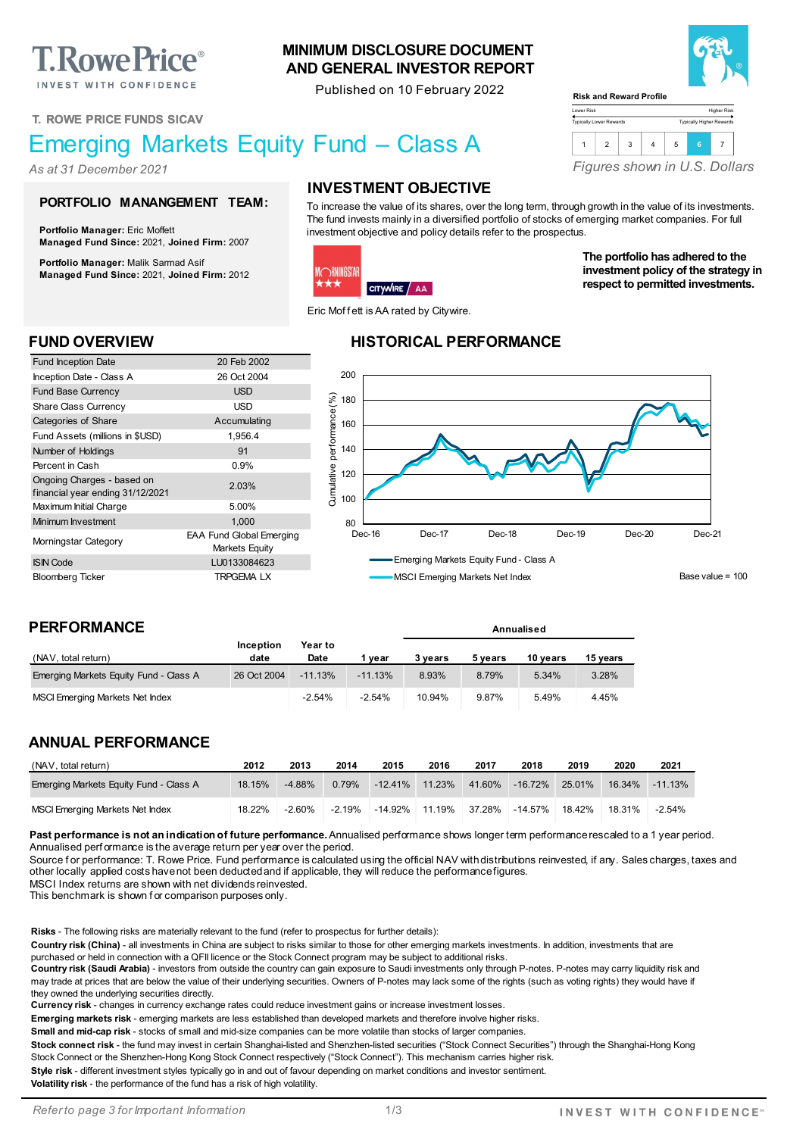**T. Rowe Price**® INVEST WITH CONFIDENCE

**T. ROWE PRICE FUNDS SICAV**

# Emerging Markets Equity Fund – Class A

*As at 31 December 2021*

#### **PORTFOLIO MANANGEMENT TEAM:**

**Portfolio Manager:** Eric Moffett **Managed Fund Since:** 2021, **Joined Firm:** 2007

**Portfolio Manager:** Malik Sarmad Asif **Managed Fund Since:** 2021, **Joined Firm:** 2012

Fund Inception Date 20 Feb 2002 Inception Date - Class A 26 Oct 2004 **Fund Base Currency USD** Share Class Currency **USD** Categories of Share Accumulating Fund Assets (millions in \$USD) 1,956.4 Number of Holdings **91** Percent in Cash 0.9%

Ongoing Charges - based on<br>financial year ending 31/12/2021 Maximum Initial Charge 5.00% Minimum Investment 1,000 Morningstar Category EAA Fund Global Emerging

ISIN Code LU0133084623 Bloomberg Ticker TRPGEMA LX

### **INVESTMENT OBJECTIVE**

**MINIMUM DISCLOSURE DOCUMENT AND GENERAL INVESTOR REPORT** Published on 10 February 2022

To increase the value of its shares, over the long term, through growth in the value of its investments. The fund invests mainly in a diversified portfolio of stocks of emerging market companies. For full investment objective and policy details refer to the prospectus.

Lower Risk Typically Lower Rewards

**Risk and Reward Profile**

#### **DRNINGSTAR** k\* CITYWIRE AA

Eric Mof f ett is AA rated by Citywire.

#### **FUND OVERVIEW HISTORICAL PERFORMANCE**



**Annualised**

#### **PERFORMANCE**

Ongoing Charges - based on

| (NAV, total return)                    | Inception<br>date | Year to<br>Date | vear      | 3 vears | 5 vears | 10 vears | 15 years |
|----------------------------------------|-------------------|-----------------|-----------|---------|---------|----------|----------|
| Emerging Markets Equity Fund - Class A | 26 Oct 2004       | $-11.13%$       | $-11.13%$ | 8.93%   | 8.79%   | 5.34%    | 3.28%    |
| MSCI Emerging Markets Net Index        |                   | $-2.54%$        | $-2.54%$  | 10.94%  | 9.87%   | 5.49%    | 4.45%    |

#### **ANNUAL PERFORMANCE**

| (NAV, total return)                    | 2012   | 2013     | 2014     | 2015              | 2016 | 2017   | 2018            | 2019   | 2020   | 2021      |
|----------------------------------------|--------|----------|----------|-------------------|------|--------|-----------------|--------|--------|-----------|
| Emerging Markets Equity Fund - Class A | 18.15% | $-4.88%$ | 0.79%    | $-12.41\%$ 11.23% |      |        | 41.60% - 16.72% | 25.01% | 16.34% | $-11.13%$ |
| MSCI Emerging Markets Net Index        | 18.22% | $-2.60%$ | $-2.19%$ | -14.92% 11.19%    |      | 37.28% | -14.57%         | 18.42% | 18.31% | $-2.54%$  |

**Past performance is not an indication of future performance.** Annualised performance shows longer term performance rescaled to a 1 year period. Annualised perf ormance is the average return per year over the period.

Source for performance: T. Rowe Price. Fund performance is calculated using the official NAV with distributions reinvested, if any. Sales charges, taxes and other locally applied costs have not been deducted and if applicable, they will reduce the performance figures.

MSCI Index returns are shown with net dividends reinvested.

This benchmark is shown f or comparison purposes only.

**Risks** - The following risks are materially relevant to the fund (refer to prospectus for further details):

Markets Equity

**Country risk (China)** - all investments in China are subject to risks similar to those for other emerging markets investments. In addition, investments that are purchased or held in connection with a QFII licence or the Stock Connect program may be subject to additional risks.

**Country risk (Saudi Arabia)** - investors from outside the country can gain exposure to Saudi investments only through P-notes. P-notes may carry liquidity risk and may trade at prices that are below the value of their underlying securities. Owners of P-notes may lack some of the rights (such as voting rights) they would have if they owned the underlying securities directly.

**Currency risk** - changes in currency exchange rates could reduce investment gains or increase investment losses.

**Emerging markets risk** - emerging markets are less established than developed markets and therefore involve higher risks.

**Small and mid-cap risk** - stocks of small and mid-size companies can be more volatile than stocks of larger companies.

Stock connect risk - the fund may invest in certain Shanghai-listed and Shenzhen-listed securities ("Stock Connect Securities") through the Shanghai-Hong Kong Stock Connect or the Shenzhen-Hong Kong Stock Connect respectively ("Stock Connect"). This mechanism carries higher risk.

**Style risk** - different investment styles typically go in and out of favour depending on market conditions and investor sentiment.

**Volatility risk** - the performance of the fund has a risk of high volatility.



Higher Risk Typically Higher Rewards



**The portfolio has adhered to the investment policy of the strategy in respect to permitted investments.**

*Figures shown in U.S. Dollars*

1 2 3 4 5 **<sup>6</sup>** <sup>7</sup>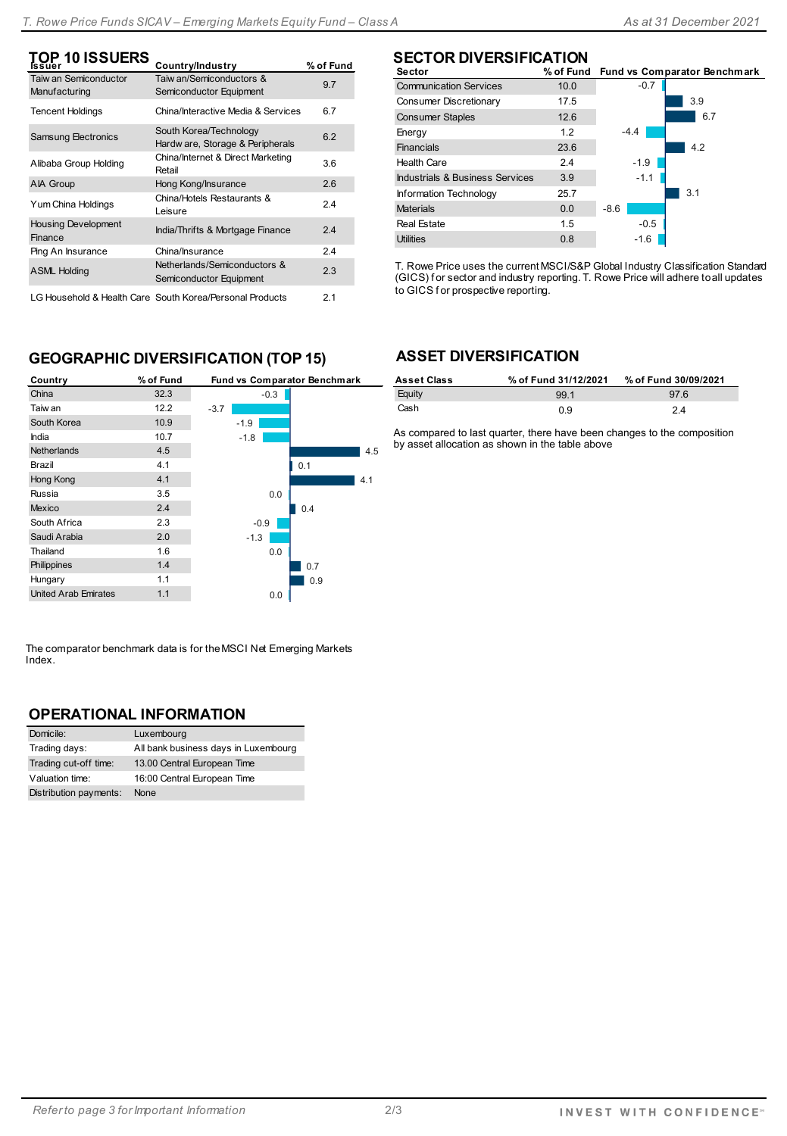| $\mathop{\sf TOP}\limits_{\sf Issuer}$ 10 ISSUERS | Country/Industry                                                      | % of Fund |
|---------------------------------------------------|-----------------------------------------------------------------------|-----------|
| <b>Taiw an Semiconductor</b><br>Manufacturing     | Taiw an/Semiconductors &<br>Semiconductor Equipment                   | 9.7       |
| <b>Tencent Holdings</b>                           | China/Interactive Media & Services                                    | 6.7       |
| Samsung Electronics                               | South Korea/Technology<br>Hardw are, Storage & Peripherals            | 6.2       |
| Alibaba Group Holding                             | China/Internet & Direct Marketing<br>Retail                           | 3.6       |
| <b>AIA Group</b>                                  | Hong Kong/Insurance                                                   | 2.6       |
| Yum China Holdings                                | China/Hotels Restaurants &<br>Leisure                                 | 2.4       |
| <b>Housing Development</b><br>Finance             | India/Thrifts & Mortgage Finance                                      | 2.4       |
| Ping An Insurance                                 | China/Insurance                                                       | 2.4       |
| <b>ASML Holding</b>                               | Netherlands/Semiconductors &<br>Semiconductor Equipment               | 2.3       |
|                                                   | LO Harra shatal Allta altho Osna - Oscuth Manage (Danaguae) Duadrrata | ີ         |

LG Household & Health Care South Korea/Personal Products 2.1

# **SECTOR DIVERSIFICATION**

| Sector                          |      |        | % of Fund Fund vs Comparator Benchmark |
|---------------------------------|------|--------|----------------------------------------|
| <b>Communication Services</b>   | 10.0 | $-0.7$ |                                        |
| Consumer Discretionary          | 17.5 |        | 3.9                                    |
| <b>Consumer Staples</b>         | 12.6 |        | 6.7                                    |
| Energy                          | 1.2  | $-4.4$ |                                        |
| <b>Financials</b>               | 23.6 |        | 4.2                                    |
| <b>Health Care</b>              | 2.4  | $-1.9$ |                                        |
| Industrials & Business Services | 3.9  | $-1.1$ |                                        |
| Information Technology          | 25.7 |        | 3.1                                    |
| <b>Materials</b>                | 0.0  | $-8.6$ |                                        |
| <b>Real Estate</b>              | 1.5  | $-0.5$ |                                        |
| <b>Utilities</b>                | 0.8  | $-1.6$ |                                        |

T. Rowe Price uses the current MSCI/S&P Global Industry Classification Standard (GICS) for sector and industry reporting. T. Rowe Price will adhere to all updates to GICS f or prospective reporting.

# **GEOGRAPHIC DIVERSIFICATION (TOP 15)**

| Country                     | % of Fund | Fund vs Comparator Benchmark |     |
|-----------------------------|-----------|------------------------------|-----|
| China                       | 32.3      | $-0.3$                       |     |
| Taiw an                     | 12.2      | $-3.7$                       |     |
| South Korea                 | 10.9      | $-1.9$                       |     |
| India                       | 10.7      | $-1.8$                       |     |
| <b>Netherlands</b>          | 4.5       |                              | 4.5 |
| Brazil                      | 4.1       |                              | 0.1 |
| Hong Kong                   | 4.1       |                              | 4.1 |
| Russia                      | 3.5       | 0.0                          |     |
| <b>Mexico</b>               | 2.4       |                              | 0.4 |
| South Africa                | 2.3       | $-0.9$                       |     |
| Saudi Arabia                | 2.0       | $-1.3$                       |     |
| Thailand                    | 1.6       | 0.0                          |     |
| Philippines                 | 1.4       |                              | 0.7 |
| Hungary                     | 1.1       |                              | 0.9 |
| <b>United Arab Emirates</b> | 1.1       | 0.0                          |     |

The comparator benchmark data is for the MSCI Net Emerging Markets Index.

#### **OPERATIONAL INFORMATION**

| Domicile:              | Luxembourg                           |
|------------------------|--------------------------------------|
| Trading days:          | All bank business days in Luxembourg |
| Trading cut-off time:  | 13.00 Central European Time          |
| Valuation time:        | 16:00 Central European Time          |
| Distribution payments: | None                                 |

# **ASSET DIVERSIFICATION**

| <b>Asset Class</b> | % of Fund 31/12/2021 | % of Fund 30/09/2021 |
|--------------------|----------------------|----------------------|
| Equity             | 99.1                 | 976                  |
| Cash               | 0.9                  | 2.4                  |

As compared to last quarter, there have been changes to the composition by asset allocation as shown in the table above